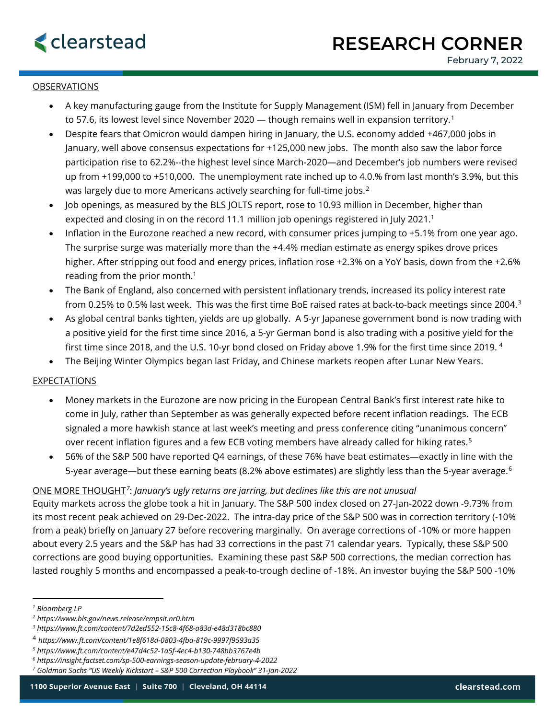## **OBSERVATIONS**

- A key manufacturing gauge from the Institute for Supply Management (ISM) fell in January from December to 57.6, its lowest level since November 2020 — though remains well in expansion territory.<sup>[1](#page-0-0)</sup>
- Despite fears that Omicron would dampen hiring in January, the U.S. economy added +467,000 jobs in January, well above consensus expectations for +125,000 new jobs. The month also saw the labor force participation rise to 62.2%--the highest level since March-2020—and December's job numbers were revised up from +199,000 to +510,000. The unemployment rate inched up to 4.0.% from last month's 3.9%, but this was largely due to more Americans actively searching for full-time jobs.<sup>[2](#page-0-1)</sup>
- Job openings, as measured by the BLS JOLTS report, rose to 10.93 million in December, higher than expected and closing in on the record 11.1 million job openings registered in July 2021.<sup>1</sup>
- Inflation in the Eurozone reached a new record, with consumer prices jumping to +5.1% from one year ago. The surprise surge was materially more than the +4.4% median estimate as energy spikes drove prices higher. After stripping out food and energy prices, inflation rose +2.3% on a YoY basis, down from the +2.6% reading from the prior month. $1$
- The Bank of England, also concerned with persistent inflationary trends, increased its policy interest rate from 0.25% to 0.5% last week. This was the first time BoE raised rates at back-to-back meetings since 2004.[3](#page-0-2)
- As global central banks tighten, yields are up globally. A 5-yr Japanese government bond is now trading with a positive yield for the first time since 2016, a 5-yr German bond is also trading with a positive yield for the first time since 2018, and the U.S. 10-yr bond closed on Friday above 1.9% for the first time since 2019. [4](#page-0-3)
- The Beijing Winter Olympics began last Friday, and Chinese markets reopen after Lunar New Years.

## EXPECTATIONS

- Money markets in the Eurozone are now pricing in the European Central Bank's first interest rate hike to come in July, rather than September as was generally expected before recent inflation readings. The ECB signaled a more hawkish stance at last week's meeting and press conference citing "unanimous concern" over recent inflation figures and a few ECB voting members have already called for hiking rates.<sup>[5](#page-0-4)</sup>
- 56% of the S&P 500 have reported Q4 earnings, of these 76% have beat estimates—exactly in line with the 5-year average—but these earning beats (8.2% above estimates) are slightly less than the 5-year average.<sup>[6](#page-0-5)</sup>

## ONE MORE THOUGHT*[7](#page-0-6)*: *January's ugly returns are jarring, but declines like this are not unusual*

Equity markets across the globe took a hit in January. The S&P 500 index closed on 27-Jan-2022 down -9.73% from its most recent peak achieved on 29-Dec-2022. The intra-day price of the S&P 500 was in correction territory (-10% from a peak) briefly on January 27 before recovering marginally. On average corrections of -10% or more happen about every 2.5 years and the S&P has had 33 corrections in the past 71 calendar years. Typically, these S&P 500 corrections are good buying opportunities. Examining these past S&P 500 corrections, the median correction has lasted roughly 5 months and encompassed a peak-to-trough decline of -18%. An investor buying the S&P 500 -10%

<span id="page-0-0"></span>*<sup>1</sup> Bloomberg LP*

<span id="page-0-1"></span>*<sup>2</sup> https://www.bls.gov/news.release/empsit.nr0.htm*

<span id="page-0-2"></span>*<sup>3</sup> https://www.ft.com/content/7d2ed552-15c8-4f68-a83d-e48d318bc880*

<span id="page-0-3"></span><sup>4</sup> *https://www.ft.com/content/1e8f618d-0803-4fba-819c-9997f9593a35*

<span id="page-0-4"></span>*<sup>5</sup> https://www.ft.com/content/e47d4c52-1a5f-4ec4-b130-748bb3767e4b*

<span id="page-0-5"></span>*<sup>6</sup> https://insight.factset.com/sp-500-earnings-season-update-february-4-2022*

<span id="page-0-6"></span>*<sup>7</sup> Goldman Sachs "US Weekly Kickstart – S&P 500 Correction Playbook" 31-Jan-2022*